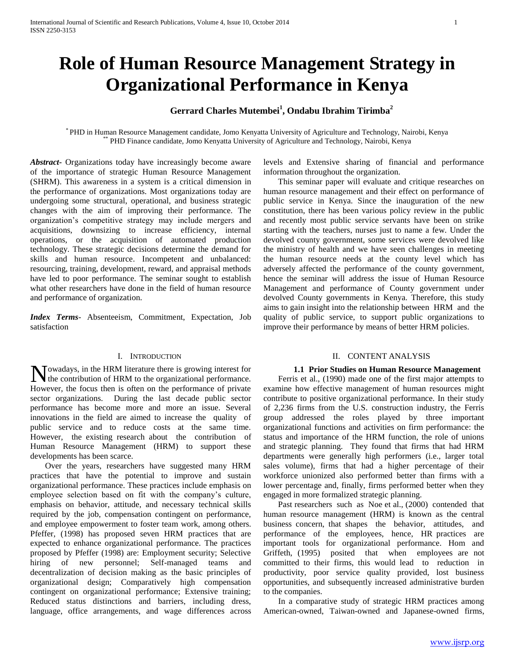# **Role of Human Resource Management Strategy in Organizational Performance in Kenya**

## **Gerrard Charles Mutembei<sup>1</sup> , Ondabu Ibrahim Tirimba<sup>2</sup>**

\* PHD in Human Resource Management candidate, Jomo Kenyatta University of Agriculture and Technology, Nairobi, Kenya \*\* PHD Finance candidate, Jomo Kenyatta University of Agriculture and Technology, Nairobi, Kenya

*Abstract***-** Organizations today have increasingly become aware of the importance of strategic Human Resource Management (SHRM). This awareness in a system is a critical dimension in the performance of organizations. Most organizations today are undergoing some structural, operational, and business strategic changes with the aim of improving their performance. The organization"s competitive strategy may include mergers and acquisitions, downsizing to increase efficiency, internal operations, or the acquisition of automated production technology. These strategic decisions determine the demand for skills and human resource. Incompetent and unbalanced: resourcing, training, development, reward, and appraisal methods have led to poor performance. The seminar sought to establish what other researchers have done in the field of human resource and performance of organization.

*Index Terms*- Absenteeism, Commitment, Expectation, Job satisfaction

#### I. INTRODUCTION

Nowadays, in the HRM literature there is growing interest for the contribution of HRM to the organizational performance. the contribution of HRM to the organizational performance. However, the focus then is often on the performance of private sector organizations. During the last decade public sector performance has become more and more an issue. Several innovations in the field are aimed to increase the quality of public service and to reduce costs at the same time. However, the existing research about the contribution of Human Resource Management (HRM) to support these developments has been scarce.

 Over the years, researchers have suggested many HRM practices that have the potential to improve and sustain organizational performance. These practices include emphasis on employee selection based on fit with the company"s culture, emphasis on behavior, attitude, and necessary technical skills required by the job, compensation contingent on performance, and employee empowerment to foster team work, among others. Pfeffer, (1998) has proposed seven HRM practices that are expected to enhance organizational performance. The practices proposed by Pfeffer (1998) are: Employment security; Selective hiring of new personnel; Self-managed teams and decentralization of decision making as the basic principles of organizational design; Comparatively high compensation contingent on organizational performance; Extensive training; Reduced status distinctions and barriers, including dress, language, office arrangements, and wage differences across levels and Extensive sharing of financial and performance information throughout the organization.

 This seminar paper will evaluate and critique researches on human resource management and their effect on performance of public service in Kenya. Since the inauguration of the new constitution, there has been various policy review in the public and recently most public service servants have been on strike starting with the teachers, nurses just to name a few. Under the devolved county government, some services were devolved like the ministry of health and we have seen challenges in meeting the human resource needs at the county level which has adversely affected the performance of the county government, hence the seminar will address the issue of Human Resource Management and performance of County government under devolved County governments in Kenya. Therefore, this study aims to gain insight into the relationship between HRM and the quality of public service, to support public organizations to improve their performance by means of better HRM policies.

## II. CONTENT ANALYSIS

## **1.1 Prior Studies on Human Resource Management**

 Ferris et al., (1990) made one of the first major attempts to examine how effective management of human resources might contribute to positive organizational performance. In their study of 2,236 firms from the U.S. construction industry, the Ferris group addressed the roles played by three important organizational functions and activities on firm performance: the status and importance of the HRM function, the role of unions and strategic planning. They found that firms that had HRM departments were generally high performers (i.e., larger total sales volume), firms that had a higher percentage of their workforce unionized also performed better than firms with a lower percentage and, finally, firms performed better when they engaged in more formalized strategic planning.

 Past researchers such as Noe et al., (2000) contended that human resource management (HRM) is known as the central business concern, that shapes the behavior, attitudes, and performance of the employees, hence, HR practices are important tools for organizational performance. Hom and Griffeth, (1995) posited that when employees are not committed to their firms, this would lead to reduction in productivity, poor service quality provided, lost business opportunities, and subsequently increased administrative burden to the companies.

 In a comparative study of strategic HRM practices among American-owned, Taiwan-owned and Japanese-owned firms,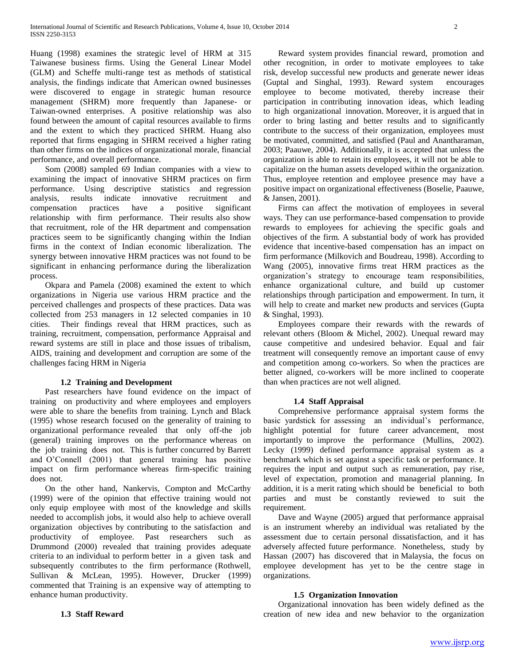Huang (1998) examines the strategic level of HRM at 315 Taiwanese business firms. Using the General Linear Model (GLM) and Scheffe multi-range test as methods of statistical analysis, the findings indicate that American owned businesses were discovered to engage in strategic human resource management (SHRM) more frequently than Japanese- or Taiwan-owned enterprises. A positive relationship was also found between the amount of capital resources available to firms and the extent to which they practiced SHRM. Huang also reported that firms engaging in SHRM received a higher rating than other firms on the indices of organizational morale, financial performance, and overall performance.

 Som (2008) sampled 69 Indian companies with a view to examining the impact of innovative SHRM practices on firm performance. Using descriptive statistics and regression analysis, results indicate innovative recruitment and compensation practices have a positive significant relationship with firm performance. Their results also show that recruitment, role of the HR department and compensation practices seem to be significantly changing within the Indian firms in the context of Indian economic liberalization. The synergy between innovative HRM practices was not found to be significant in enhancing performance during the liberalization process.

 Okpara and Pamela (2008) examined the extent to which organizations in Nigeria use various HRM practice and the perceived challenges and prospects of these practices. Data was collected from 253 managers in 12 selected companies in 10 cities. Their findings reveal that HRM practices, such as training, recruitment, compensation, performance Appraisal and reward systems are still in place and those issues of tribalism, AIDS, training and development and corruption are some of the challenges facing HRM in Nigeria

## **1.2 Training and Development**

 Past researchers have found evidence on the impact of training on productivity and where employees and employers were able to share the benefits from training. Lynch and Black (1995) whose research focused on the generality of training to organizational performance revealed that only off-the job (general) training improves on the performance whereas on the job training does not. This is further concurred by Barrett and O"Connell (2001) that general training has positive impact on firm performance whereas firm-specific training does not.

 On the other hand, Nankervis, Compton and McCarthy (1999) were of the opinion that effective training would not only equip employee with most of the knowledge and skills needed to accomplish jobs, it would also help to achieve overall organization objectives by contributing to the satisfaction and productivity of employee. Past researchers such as Drummond (2000) revealed that training provides adequate criteria to an individual to perform better in a given task and subsequently contributes to the firm performance (Rothwell, Sullivan & McLean, 1995). However, Drucker (1999) commented that Training is an expensive way of attempting to enhance human productivity.

 Reward system provides financial reward, promotion and other recognition, in order to motivate employees to take risk, develop successful new products and generate newer ideas (Guptal and Singhal, 1993). Reward system encourages employee to become motivated, thereby increase their participation in contributing innovation ideas, which leading to high organizational innovation. Moreover, it is argued that in order to bring lasting and better results and to significantly contribute to the success of their organization, employees must be motivated, committed, and satisfied (Paul and Anantharaman, 2003; Paauwe, 2004). Additionally, it is accepted that unless the organization is able to retain its employees, it will not be able to capitalize on the human assets developed within the organization. Thus, employee retention and employee presence may have a positive impact on organizational effectiveness (Boselie, Paauwe, & Jansen, 2001).

 Firms can affect the motivation of employees in several ways. They can use performance-based compensation to provide rewards to employees for achieving the specific goals and objectives of the firm. A substantial body of work has provided evidence that incentive-based compensation has an impact on firm performance (Milkovich and Boudreau, 1998). According to Wang (2005), innovative firms treat HRM practices as the organization"s strategy to encourage team responsibilities, enhance organizational culture, and build up customer relationships through participation and empowerment. In turn, it will help to create and market new products and services (Gupta & Singhal, 1993).

 Employees compare their rewards with the rewards of relevant others (Bloom & Michel, 2002). Unequal reward may cause competitive and undesired behavior. Equal and fair treatment will consequently remove an important cause of envy and competition among co-workers. So when the practices are better aligned, co-workers will be more inclined to cooperate than when practices are not well aligned.

## **1.4 Staff Appraisal**

 Comprehensive performance appraisal system forms the basic yardstick for assessing an individual"s performance, highlight potential for future career advancement, most importantly to improve the performance (Mullins, 2002). Lecky (1999) defined performance appraisal system as a benchmark which is set against a specific task or performance. It requires the input and output such as remuneration, pay rise, level of expectation, promotion and managerial planning. In addition, it is a merit rating which should be beneficial to both parties and must be constantly reviewed to suit the requirement.

 Dave and Wayne (2005) argued that performance appraisal is an instrument whereby an individual was retaliated by the assessment due to certain personal dissatisfaction, and it has adversely affected future performance. Nonetheless, study by Hassan (2007) has discovered that in Malaysia, the focus on employee development has yet to be the centre stage in organizations.

## **1.5 Organization Innovation**

 Organizational innovation has been widely defined as the creation of new idea and new behavior to the organization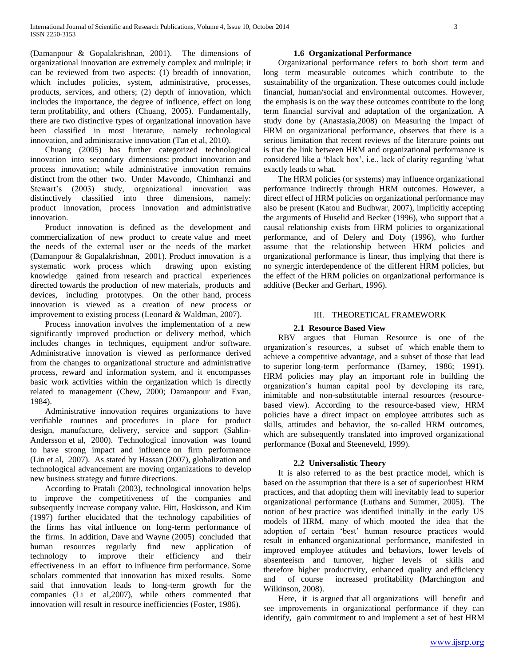(Damanpour & Gopalakrishnan, 2001). The dimensions of organizational innovation are extremely complex and multiple; it can be reviewed from two aspects: (1) breadth of innovation, which includes policies, system, administrative, processes, products, services, and others; (2) depth of innovation, which includes the importance, the degree of influence, effect on long term profitability, and others (Chuang, 2005). Fundamentally, there are two distinctive types of organizational innovation have been classified in most literature, namely technological innovation, and administrative innovation (Tan et al, 2010).

 Chuang (2005) has further categorized technological innovation into secondary dimensions: product innovation and process innovation; while administrative innovation remains distinct from the other two. Under Mavondo, Chimhanzi and Stewart's (2003) study, organizational innovation was distinctively classified into three dimensions, namely: product innovation, process innovation and administrative innovation.

 Product innovation is defined as the development and commercialization of new product to create value and meet the needs of the external user or the needs of the market (Damanpour & Gopalakrishnan, 2001). Product innovation is a systematic work process which drawing upon existing knowledge gained from research and practical experiences directed towards the production of new materials, products and devices, including prototypes. On the other hand, process innovation is viewed as a creation of new process or improvement to existing process (Leonard & Waldman, 2007).

 Process innovation involves the implementation of a new significantly improved production or delivery method, which includes changes in techniques, equipment and/or software. Administrative innovation is viewed as performance derived from the changes to organizational structure and administrative process, reward and information system, and it encompasses basic work activities within the organization which is directly related to management (Chew, 2000; Damanpour and Evan, 1984).

 Administrative innovation requires organizations to have verifiable routines and procedures in place for product design, manufacture, delivery, service and support (Sahlin-Andersson et al, 2000). Technological innovation was found to have strong impact and influence on firm performance (Lin et al, 2007). As stated by Hassan (2007), globalization and technological advancement are moving organizations to develop new business strategy and future directions.

 According to Pratali (2003), technological innovation helps to improve the competitiveness of the companies and subsequently increase company value. Hitt, Hoskisson, and Kim (1997) further elucidated that the technology capabilities of the firms has vital influence on long-term performance of the firms. In addition, Dave and Wayne (2005) concluded that human resources regularly find new application of technology to improve their efficiency and their effectiveness in an effort to influence firm performance. Some scholars commented that innovation has mixed results. Some said that innovation leads to long-term growth for the companies (Li et al,2007), while others commented that innovation will result in resource inefficiencies (Foster, 1986).

## **1.6 Organizational Performance**

 Organizational performance refers to both short term and long term measurable outcomes which contribute to the sustainability of the organization. These outcomes could include financial, human/social and environmental outcomes. However, the emphasis is on the way these outcomes contribute to the long term financial survival and adaptation of the organization. A study done by (Anastasia,2008) on Measuring the impact of HRM on organizational performance, observes that there is a serious limitation that recent reviews of the literature points out is that the link between HRM and organizational performance is considered like a "black box", i.e., lack of clarity regarding "what exactly leads to what.

 The HRM policies (or systems) may influence organizational performance indirectly through HRM outcomes. However, a direct effect of HRM policies on organizational performance may also be present (Katou and Budhwar, 2007), implicitly accepting the arguments of Huselid and Becker (1996), who support that a causal relationship exists from HRM policies to organizational performance, and of Delery and Doty (1996), who further assume that the relationship between HRM policies and organizational performance is linear, thus implying that there is no synergic interdependence of the different HRM policies, but the effect of the HRM policies on organizational performance is additive (Becker and Gerhart, 1996).

#### III. THEORETICAL FRAMEWORK

## **2.1 Resource Based View**

 RBV argues that Human Resource is one of the organization"s resources, a subset of which enable them to achieve a competitive advantage, and a subset of those that lead to superior long-term performance (Barney, 1986; 1991). HRM policies may play an important role in building the organization"s human capital pool by developing its rare, inimitable and non-substitutable internal resources (resourcebased view). According to the resource-based view, HRM policies have a direct impact on employee attributes such as skills, attitudes and behavior, the so-called HRM outcomes, which are subsequently translated into improved organizational performance (Boxal and Steeneveld, 1999).

## **2.2 Universalistic Theory**

 It is also referred to as the best practice model, which is based on the assumption that there is a set of superior/best HRM practices, and that adopting them will inevitably lead to superior organizational performance (Luthans and Summer, 2005). The notion of best practice was identified initially in the early US models of HRM, many of which mooted the idea that the adoption of certain "best" human resource practices would result in enhanced organizational performance, manifested in improved employee attitudes and behaviors, lower levels of absenteeism and turnover, higher levels of skills and therefore higher productivity, enhanced quality and efficiency and of course increased profitability (Marchington and Wilkinson, 2008).

 Here, it is argued that all organizations will benefit and see improvements in organizational performance if they can identify, gain commitment to and implement a set of best HRM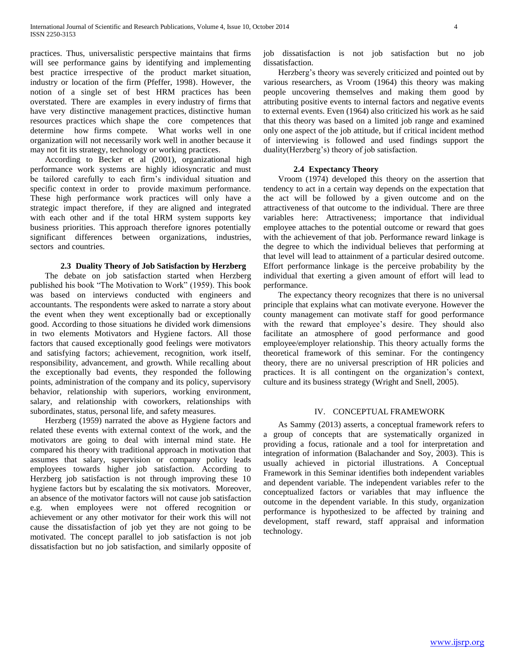practices. Thus, universalistic perspective maintains that firms will see performance gains by identifying and implementing best practice irrespective of the product market situation, industry or location of the firm (Pfeffer, 1998). However, the notion of a single set of best HRM practices has been overstated. There are examples in every industry of firms that have very distinctive management practices, distinctive human resources practices which shape the core competences that determine how firms compete. What works well in one organization will not necessarily work well in another because it may not fit its strategy, technology or working practices.

 According to Becker et al (2001), organizational high performance work systems are highly idiosyncratic and must be tailored carefully to each firm"s individual situation and specific context in order to provide maximum performance. These high performance work practices will only have a strategic impact therefore, if they are aligned and integrated with each other and if the total HRM system supports key business priorities. This approach therefore ignores potentially significant differences between organizations, industries, sectors and countries.

#### **2.3 Duality Theory of Job Satisfaction by Herzberg**

 The debate on job satisfaction started when Herzberg published his book "The Motivation to Work" (1959). This book was based on interviews conducted with engineers and accountants. The respondents were asked to narrate a story about the event when they went exceptionally bad or exceptionally good. According to those situations he divided work dimensions in two elements Motivators and Hygiene factors. All those factors that caused exceptionally good feelings were motivators and satisfying factors; achievement, recognition, work itself, responsibility, advancement, and growth. While recalling about the exceptionally bad events, they responded the following points, administration of the company and its policy, supervisory behavior, relationship with superiors, working environment, salary, and relationship with coworkers, relationships with subordinates, status, personal life, and safety measures.

 Herzberg (1959) narrated the above as Hygiene factors and related these events with external context of the work, and the motivators are going to deal with internal mind state. He compared his theory with traditional approach in motivation that assumes that salary, supervision or company policy leads employees towards higher job satisfaction. According to Herzberg job satisfaction is not through improving these 10 hygiene factors but by escalating the six motivators. Moreover, an absence of the motivator factors will not cause job satisfaction e.g. when employees were not offered recognition or achievement or any other motivator for their work this will not cause the dissatisfaction of job yet they are not going to be motivated. The concept parallel to job satisfaction is not job dissatisfaction but no job satisfaction, and similarly opposite of job dissatisfaction is not job satisfaction but no job dissatisfaction.

 Herzberg"s theory was severely criticized and pointed out by various researchers, as Vroom (1964) this theory was making people uncovering themselves and making them good by attributing positive events to internal factors and negative events to external events. Even (1964) also criticized his work as he said that this theory was based on a limited job range and examined only one aspect of the job attitude, but if critical incident method of interviewing is followed and used findings support the duality(Herzberg's) theory of job satisfaction.

#### **2.4 Expectancy Theory**

 Vroom (1974) developed this theory on the assertion that tendency to act in a certain way depends on the expectation that the act will be followed by a given outcome and on the attractiveness of that outcome to the individual. There are three variables here: Attractiveness; importance that individual employee attaches to the potential outcome or reward that goes with the achievement of that job. Performance reward linkage is the degree to which the individual believes that performing at that level will lead to attainment of a particular desired outcome. Effort performance linkage is the perceive probability by the individual that exerting a given amount of effort will lead to performance.

 The expectancy theory recognizes that there is no universal principle that explains what can motivate everyone. However the county management can motivate staff for good performance with the reward that employee's desire. They should also facilitate an atmosphere of good performance and good employee/employer relationship. This theory actually forms the theoretical framework of this seminar. For the contingency theory, there are no universal prescription of HR policies and practices. It is all contingent on the organization"s context, culture and its business strategy (Wright and Snell, 2005).

## IV. CONCEPTUAL FRAMEWORK

 As Sammy (2013) asserts, a conceptual framework refers to a group of concepts that are systematically organized in providing a focus, rationale and a tool for interpretation and integration of information (Balachander and Soy, 2003). This is usually achieved in pictorial illustrations. A Conceptual Framework in this Seminar identifies both independent variables and dependent variable. The independent variables refer to the conceptualized factors or variables that may influence the outcome in the dependent variable. In this study, organization performance is hypothesized to be affected by training and development, staff reward, staff appraisal and information technology.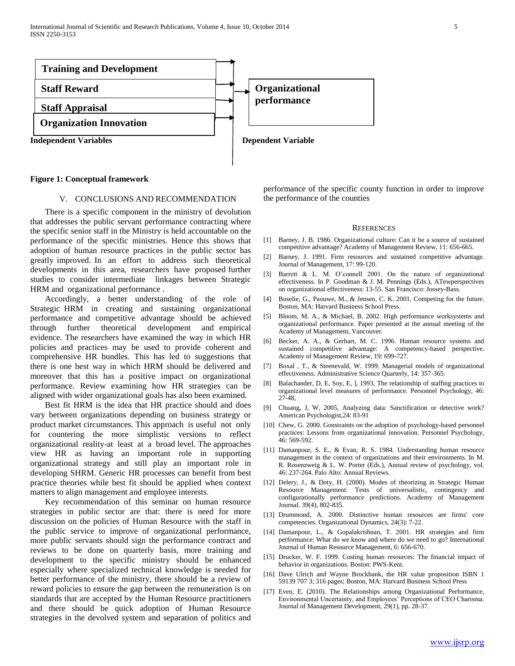International Journal of Scientific and Research Publications, Volume 4, Issue 10, October 2014 5 ISSN 2250-3153



#### **Figure 1: Conceptual framework**

#### V. CONCLUSIONS AND RECOMMENDATION

 There is a specific component in the ministry of devolution that addresses the public servant performance contracting where the specific senior staff in the Ministry is held accountable on the performance of the specific ministries. Hence this shows that adoption of human resource practices in the public sector has greatly improved. In an effort to address such theoretical developments in this area, researchers have proposed further studies to consider intermediate linkages between Strategic HRM and organizational performance .

 Accordingly, a better understanding of the role of Strategic HRM in creating and sustaining organizational performance and competitive advantage should be achieved through further theoretical development and empirical evidence. The researchers have examined the way in which HR policies and practices may be used to provide coherent and comprehensive HR bundles. This has led to suggestions that there is one best way in which HRM should be delivered and moreover that this has a positive impact on organizational performance. Review examining how HR strategies can be aligned with wider organizational goals has also been examined.

 Best fit HRM is the idea that HR practice should and does vary between organizations depending on business strategy or product market circumstances. This approach is useful not only for countering the more simplistic versions to reflect organizational reality-at least at a broad level. The approaches view HR as having an important role in supporting organizational strategy and still play an important role in developing SHRM. Generic HR processes can benefit from best practice theories while best fit should be applied when context matters to align management and employee interests.

 Key recommendation of this seminar on human resource strategies in public sector are that: there is need for more discussion on the policies of Human Resource with the staff in the public service to improve of organizational performance, more public servants should sign the performance contract and reviews to be done on quarterly basis, more training and development to the specific ministry should be enhanced especially where specialized technical knowledge is needed for better performance of the ministry, there should be a review of reward policies to ensure the gap between the remuneration is on standards that are accepted by the Human Resource practitioners and there should be quick adoption of Human Resource strategies in the devolved system and separation of politics and

performance of the specific county function in order to improve the performance of the counties

#### **REFERENCES**

- [1] Barney, J. B. 1986. Organizational culture: Can it be a source of sustained competitive advantage? Academy of Management Review, 11: 656-665.
- [2] Barney, J. 1991. Firm resources and sustained competitive advantage. Journal of Management, 17: 99-120.
- [3] Barrett & L. M. O"connell 2001. On the nature of organizational effectiveness. In P. Goodman & J. M. Pennings (Eds.), ATewperspectives on organizational effectiveness: 13-55. San Francisco: Jossey-Bass.
- [4] Boselie, G., Paouwe, M., & Jensen, C. K. 2001. Competing for the future. Boston, MA: Harvard Business School Press.
- [5] Bloom, M. A., & Michael, B. 2002. High performance worksystems and organizational performance. Paper presented at the annual meeting of the Academy of Management, Vancouver.
- [6] Becker, A. A., & Gerhart, M. C. 1996. Human resource systems and sustained competitive advantage: A competency-based perspective. Academy of Management Review, 19: 699-727.
- [7] Boxal , T., & Steenevald, W. 1999. Managerial models of organizational effectiveness. Administrative Science Quarterly, 14: 357-365.
- [8] Balachander, D, E, Soy, E, ], 1993, The relationship of staffing practices to organizational level measures of performance. Personnel Psychology, 46: 27-48,
- [9] Chuang, J, W, 2005, Analyzing data: Sanctification or detective work? American Psychologist,24: 83-91
- [10] Chew, G. 2000. Gonstraints on the adoption of psychology-based personnel practices: Lessons from organizational innovation. Personnel Psychology, 46: 569-592.
- [11] Damanpour, S. E., & Evan, R. S. 1984. Understanding human resource management in the context of organizations and their environments. In M. R. Rosenzweig & L. W. Porter (Eds.), Annual review of psychology, vol. 46: 237-264. Palo Alto: Annual Reviews.
- [12] Delery, J., & Doty, H. (2000). Modes of theorizing in Strategic Human Resource Management: Tests of universalistic, contingency and configurationally performance predictions. Academy of Management Journal. 39(4), 802-835.
- [13] Drummond, A. 2000. Distinctive human resources are firms' core competencies. Organizational Dynamics, 24(3): 7-22.
- [14] Damanpour, L., & Gopalakrishnan, T. 2001. HR strategies and firm performance: What do we know and where do we need to go? International Journal of Human Resource Management, 6: 656-670.
- [15] Drucker, W. F. 1999. Costing human resources: The financial impact of behavior in organizations. Boston: PWS-Kent.
- [16] Dave Ulrich and Wayne Brockbank, the HR value proposition ISBN 1 59139 707 3; 316 pages; Boston, MA: Harvard Business School Press
- [17] Even, E. (2010). The Relationships among Organizational Performance, Environmental Uncertainty, and Employees" Perceptions of CEO Charisma. Journal of Management Development, 29(1), pp. 28-37.